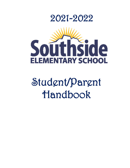



# Student/Parent Handbook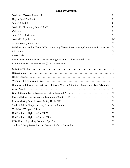#### Table of Contents

|                                                                                             | - 5       |
|---------------------------------------------------------------------------------------------|-----------|
|                                                                                             |           |
|                                                                                             |           |
|                                                                                             |           |
|                                                                                             | 10        |
| Building Intervention Team (BIT), Community/Parent Involvement, Conferences & Concerns      | 11        |
|                                                                                             | 12        |
|                                                                                             | 13        |
| Electronic Communication Devices, Emergency School Closure, Field Trips 14                  |           |
|                                                                                             | 14        |
|                                                                                             | 15        |
|                                                                                             |           |
|                                                                                             | $16 - 18$ |
|                                                                                             |           |
| Homework, Internet Access & Usage, Internet Website & Student Photographs, Lost & Found  19 |           |
|                                                                                             |           |
|                                                                                             |           |
|                                                                                             |           |
|                                                                                             |           |
|                                                                                             |           |
|                                                                                             | 25        |
|                                                                                             | 26        |
|                                                                                             |           |
|                                                                                             |           |
|                                                                                             |           |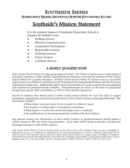# SOUTHSIDE SHINES<br>SIGNIFICANTLY HELPING INDIVIDUALS NURTURE EDUCATIONAL SUCCESS

### Southside's Mission Statement

It is the primary mission of Southside Elementary School to prepare all students to be:

- Problem Solvers
- **Effective Communicators**
- Cooperative Participants
- Responsible Citizens
- Lifelong Learners
- Future Seekers
- Celebrate Success

#### A HIGHLY QUALIFIED STAFF

Park County School District #1 takes great pride in its staff. The District's teachers have a wide range of education, experience, skills, abilities, and professional attributes to provide the students of Park County School District #1 a quality education. All Park County School District #1 teachers meet or exceed the requirements of certification established by the Professional Teaching Standards Board and the Wyoming Department of Education. Additionally, Park County School District #1 seeks to employ the most qualified and experienced paraprofessionals available. Paraprofessionals are hired on the basis of educational background, specific skills and abilities, as well as work and life experiences.

Parents of children who attend school in Park County School District #1 have the right to request information regarding the professional qualifications of their child's teachers and paraprofessionals. This information includes:

- What subject areas and grade levels a teacher is certified to teach.
- If a teacher is working under a transitional certification.
- What degrees a teacher has earned and major areas of emphasis.
- The qualifications of the paraprofessionals working with their children.

Any parents seeking this information on their child's teachers or paraprofessionals should submit a written request to Mr. Jay Curtis, Superintendent. Every effort will be made to provide a prompt and thorough response to such written requests.

Park County School District #1 does not discriminate on the basis of race, color, national origin, sex, age, or disability in admission or access to, or treatment of employment in, its educational programs or activities. Inquiries concerning Title VI, Title IX, Section 504, and ADA may be referred to Park County School District #1, Ginger Sleep, Civil Rights Coordinator, 160 North Evarts, Powell, Wyoming 82435, or the Office for Civil Rights, Region VIII, U.S. Department of Education, Federal Building, Suite 310, 1244 Speer Blvd., Denver, Colorado 80204-03582, (303) 844-5695 or TDD 303-844-3417.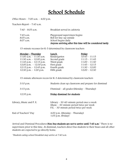## School Schedule

Office Hours – 7:00 a.m. – 4:00 p.m.

Teachers Report – 7:45 a.m.

| 7:40 – 8:05 a.m.       | Breakfast served in cafeteria                                                    |
|------------------------|----------------------------------------------------------------------------------|
| 7:45 a.m.<br>8:05 a.m. | Playground supervision begins<br>Bell for line-up outside                        |
| 8:07 a.m.              | School begins daily<br>Anyone arriving after this time will be considered tardy. |

15-minute recesses for K-5 determined by classroom teachers

| <u> Monday – Thursday</u>  | Lunch        | Friday          |
|----------------------------|--------------|-----------------|
| $11:00$ a.m. $-11:30$ a.m. | Kindergarten | $10:45 - 11:15$ |
| 11:30 a.m. $-$ 12:00 p.m.  | Second grade | $11:15 - 11:45$ |
| 11:45 p.m. $-$ 12:15 p.m.  | Third grade  | $11:00 - 11:30$ |
| 12:00 p.m. $- 12:30$ p.m.  | First grade  | $11:45 - 12:15$ |
| 12:15 p.m. $-$ 12:45 p.m.  | Fourth grade | $11:30 - 12:00$ |
| 12:30 p.m. $-$ 1:00 p.m.   | Fifth grade  | $12:00 - 12:30$ |

15-minute afternoon recess for K-3 determined by classroom teachers

| $3:10 \text{ p.m.}$      | Students clean up classroom and prepare for dismissal                                                                                    |
|--------------------------|------------------------------------------------------------------------------------------------------------------------------------------|
| $3:15$ p.m.              | Dismissal – all grades (Monday – Thursday)                                                                                               |
| 12:35 p.m.               | Friday dismissal for students                                                                                                            |
| Library, Music and P. E. | Library – $30 - 60$ -minute period once a week<br>Music $-30$ -minute period twice per week<br>$P.E. - 30$ -minute period twice per week |
| End of Teachers' Day     | 4:00 p.m. (Monday $-$ Thursday)<br>$1:05$ p.m. (Friday)                                                                                  |

Arrival and Dismissal Procedures Non-bus students are not to arrive until 7:45 a.m.<sup>\*</sup> There is no supervision prior to this time. At dismissal, teachers direct bus students to their buses and all other students are expected to go directly home.

\*Students eating school breakfast may arrive at 7:40 a.m.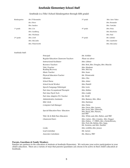#### Southside Elementary School Staff

#### Southside is a Title I School (kindergarten through fifth grade)

| Mr. D'Alessandro | 3rd grade             | Mrs. Aure-Takos |
|------------------|-----------------------|-----------------|
| Ms. Oliver       |                       | Mrs. Bonander   |
| Mrs. Sanders     |                       | Mrs. VanLake    |
| Mrs. Cox         | 4 <sup>th</sup> grade | Mrs. Foley      |
| Mrs. Lundberg    |                       | Mrs. Kincheloe  |
| Mrs. Wichman     |                       | Mrs. Paul       |
| Mrs. Croft       | $5th$ grade           | Mr. Galindo     |
| Mrs. McCaslin    |                       | Mrs. Landwehr   |
| Mrs. Waterworth  |                       | Mrs. McCauley   |
|                  |                       |                 |

#### Southside Staff:

| Principal                            | Mr. Schiller                                                                                                                                                  |
|--------------------------------------|---------------------------------------------------------------------------------------------------------------------------------------------------------------|
| Regular Education Classroom Teachers | Please see above                                                                                                                                              |
| Instructional Facilitator            | Mrs. Giltner                                                                                                                                                  |
| Resource Teachers                    | Mrs. Bott, Mrs. Douglas, Mrs. Muecke                                                                                                                          |
| Title I Teacher<br>Reading Recovery  | Mrs. Hinshaw<br>Mrs. McCray                                                                                                                                   |
| Music Teacher                        | Mrs. Sears                                                                                                                                                    |
| Physical Education Teacher           | Mr. Wisniewski                                                                                                                                                |
| Librarian                            | Mrs. Otto                                                                                                                                                     |
| School Nurse                         | Mrs. Asher                                                                                                                                                    |
| School Social Worker                 | Mrs. Pindell                                                                                                                                                  |
| Speech/Language Pathologist          | Mrs. Loris                                                                                                                                                    |
| Part-time Occupational Therapist     | Mrs. McKee                                                                                                                                                    |
| Part-time Psych Tech                 | Mrs. Cuddy                                                                                                                                                    |
| Part-time Adaptive P.E. Teacher      | Mr. Wolff                                                                                                                                                     |
| Administrative Assistants            | Mrs. Ramsey, Mrs. Allen                                                                                                                                       |
| <b>IMC</b> Clerk                     | Mrs. Hartman                                                                                                                                                  |
| Computer Lab Manager                 | Mrs. Dicks                                                                                                                                                    |
| Special Education Para-Educators     | Mrs. Davis, Mrs. Larsen,<br>Mrs. Evelo, Mrs. Dilworth,<br>Mrs. Knop, Mrs. Plenert,<br>and TBD                                                                 |
| Title L & At-Risk Para-Educators     | Mrs. White and, Mrs. Bieber, and TBD                                                                                                                          |
| Classroom Para's                     | Mrs. Carter, Mrs. Cousins, Mrs. Dugger<br>Mrs. Fulton, 1st (TBD), Mrs. Christofferson,<br>Mrs. Pool, Ms. Reihm, Mrs. Sapp,<br>Mr. Sessions, and Mrs. Staebler |
| Cooks                                | Mrs. Griffith, Mrs. Jensen                                                                                                                                    |
| Lead Custodian                       | Mr. Larsen                                                                                                                                                    |
| Associate Custodians                 | Ms. Abarca, TBD                                                                                                                                               |
|                                      |                                                                                                                                                               |

#### **Parents, Guardians & Family Members**

Families are partners in the education of students at Southside Elementary. We welcome your active participation in your child's education. There are a variety of ways that parents/guardians can choose to be active in their child's education at Southside.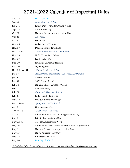### 2021-2022 Calendar of Important Dates

| Aug. 24         | First Day of School                                   |
|-----------------|-------------------------------------------------------|
| Sept. 6         | Labor Day - No School                                 |
| Sept. 10        | Patriot Day -Wear Red, White & Blue!                  |
| Sept. 17        | Constitution Day                                      |
| Oct. 02         | National Custodian Appreciation Day                   |
| Oct. 15         | No School                                             |
| Oct. 31         | Halloween                                             |
| Nov. 05         | End of the 1 <sup>st</sup> Trimester                  |
| Nov. 07         | Daylight Saving Time Ends                             |
| Nov. 24-26      | Thanksgiving Vacation - No School                     |
| Nov. 29         | Nellie Tayloe Ross B-Day                              |
| Dec. 07         | Pearl Harbor Day                                      |
| Dec. 09         | Southside Christmas Program                           |
| Dec. 10         | Wyoming Day                                           |
| Dec. 22~Dec. 31 | Winter Break - No School                              |
| Jan 3-4         | Professional Development - No School for Students     |
| Jan. 5          | Classes Resume                                        |
| Jan. 31         | 100 <sup>th</sup> Day of School                       |
| Feb $1-5$       | National School Counselor Week                        |
| Feb. 14         | Valentine's Day                                       |
| Feb. 21         | President's Day - No School                           |
| Feb. 25         | End of the 2 <sup>nd</sup> Trimester                  |
| Mar. 13         | Daylight Saving Time Begins                           |
| Mar. 14-18      | Spring Break - No School                              |
| Apr. 14         | Grandparents Day                                      |
| Apr. 15-18      | Easter Break - No School                              |
| Apr. 27         | Administrative Professionals Appreciation Day         |
| May 01          | Principal Appreciation Day                            |
| May 02-06       | Teacher Appreciation Week                             |
| May 06          | School Lunch Hero Day (Cafeteria Worker Appreciation) |
| May 11          | National School Nurse Appreciation Day                |
| May 13          | Native American Day (WY)                              |
| May 25          | Kindergarten Circus                                   |
| May 26          | Last Day of School                                    |
|                 |                                                       |

Schedule/Calendar is subject to change. Parent/Teacher Conferences are TBD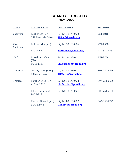### **BOARD OF TRUSTEES 2021-2022**

| <b>OFFICE</b>     | <b>NAME &amp; ADDRESS</b>                | <b>TERM OF OFFICE</b>                          | <b>TELEPHONE</b> |
|-------------------|------------------------------------------|------------------------------------------------|------------------|
| Chairman          | Paul, Trace (Mr.)<br>859 Riverside Drive | $12/1/10-11/30/22$<br><b>TRPaul@pcsd1.org</b>  | 254-1840         |
| Vice-<br>Chairman | Dillivan, Kim (Mr.)                      | 12/1/16-11/30/24                               | 271-7568         |
|                   | <b>620 Ave F</b>                         | <b>KDDillivan@pcsd1.org</b>                    | 970-570-9881     |
| <b>Clerk</b>      | Brazelton, Lillian<br>(Mrs.)             | $6/17/16 - 11/30/22$                           | 754-2758         |
|                   | <b>PO Box 537</b>                        | LRBrazelton@pcsd1.org                          |                  |
| <b>Treasurer</b>  | Morris, Tracy (Mrs.)<br>10 Llama Drive   | $12/1/16 - 11/30/24$<br>TDMorris@pcsd1.org     | 307-250-9599     |
| <b>Trustees</b>   | Borcher, Greg (Mr.)<br>215 W. 10th St.   | 12/1/06-11/30/22<br><b>GMBorcher@pcsd1.org</b> | 307-254-0660     |
|                   | Riley, Laura (Ms.)<br>940 Rd 12          | 12/1/20-11/30/24                               | 307-754-2103     |
|                   | Hansen, Donald (Mr.)<br>1173 Lane 8      | $12/1/14 - 11/30/22$<br>DHansen@pcsd1.org      | 307-899-2225     |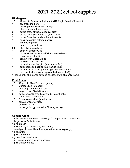### 2021-2022 School Supplies

#### **Kindergarten**

- 12 #2 pencils (sharpened, please) **NOT** Eagle Brand of fancy foil
- 
- 1 dry erase markers 4-PK<br>2 plastic pocket folder with plastic pocket folder with prongs
- 1 pink or green rubber eraser<br>2 boxes of facial tissues (requ
- boxes of facial tissues (regular size)
- 
- 4 boxes of Crayola-brand crayons (16-24) box of Crayola-brand markers (8 count)
- 1 pack if erasable colored pencils
- 1 watercolor paints
- 1 pencil box, size 5"x 8"<br>20 dlue sticks (small size)
- qlue sticks (small size)
- 1 bottle of Elmer's Glue
- 1 pair of student scissors (Fiskars are the best)
- 1 container of Play-Doh
- 1 container of Clorox wipes
- 1 bottle of hand sanitizer<br>1 box gallon-size baggies
- box gallon-size baggies (last names A-L)
- 1 box quart-size baggies (last names M-Z)
- 1 box sandwich size zip-up baggies (last names A-L)
- 1 box snack size ziplock baggies (last names M-Z)

\* Please only label pencil box and backpack with student's name

### **First Grade**<br>12 #2 pen

- #2 pencils (Tan Ticonderoga only)
- 1 Composition Notebook
- 
- 1 pink or green rubber eraser<br>2 large boxes of facial tissues large boxes of facial tissues
- 3 box of Crayola-brand crayons (24 count only)
- 1 4"x 8" plastic pencil box
- 12 Elmer's glue sticks (small size)
- 1 container Clorox wipes
- 1 bottle of Germ-x
- 1 box of gallon **or** quart-size Ziploc-type bag

#### **Second Grade**

36 #2 pencils (sharpened, please) (NOT Eagle brand or fancy foil)

- 1 large box of facial tissues
- 1 pink eraser
- 1 box of Crayola-brand crayons (16-24)
- 1 small plastic pencil box 1 two-pocket folders (no prongs)
- 1 highlighter
- 1 pair of scissors
- 4 glue sticks (small size)
- 4 dry erase markers for whiteboards
- 1 pair of headphones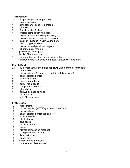### **Third Grade**<br>24 #2 pen

- 24 #2 pencils (Ticonderoga only)<br>1 pair of scissors
- pair of scissors
- 1 pink eraser or pencil top erasers
- 4 glue sticks<br>2 Plastic poc
- 2 Plastic pocket folders<br>1 Marble composition no
- 1 Marble composition notebook<br>2 boxes of facial tissue (regular
- boxes of facial tissue (regular size)
- 1 box gallon size or quart size baggies<br>1 back of 4 Expo DRY ERASE markers
- pack of 4 Expo DRY ERASE markers
- 1 pencil bag **(not a box)**
- box of colored pencils or crayons
- 1 pkg **fine** point markers
- 1 package of 3 highlighters
- 1 bottle of hand sanitizer
- 1 individual pencil sharpener (Takos' only)<br>1 oackage wide rule loose leaf paper (Vanl
- package wide rule loose leaf paper (VanLake's Class only)

### **Fourth Grade**<br>24 #2 pend

- #2 pencils (sharpened, please) (**NOT** Eagle-brand or fancy foil)
- 1 pink eraser
- 1 pair of scissors (Please no round-tip safety scissors)
- 1 box of colored pencils
- 4 2-pocket folders<br>8 dry erase marke
- dry erase markers
- 
- 1 box of facial tissue<br>4 composition notebo composition notebooks
- 3 glue sticks
- 1 box Ziploc bags any size<br>1 box crayons
- box crayons
- 1 set of headphones

### **Fifth Grade**<br>2 highlic

- 
- 2 highlighters<br>2 boxes penci 2 boxes pencils (**NOT** Eagle brand or fancy foil)
- pair of scissors
- 1 box of colored pencils (at least 18)
- 1  $1\frac{1}{2}$  inch binder<br>1 black sharpie
- black sharpie
- 4 glue sticks<br>2 box of Klee
- box of Kleenex
- 1 eraser
- 1 Marble composition notebook
- 1 4-pkg dry erase markers<br>3 2-pocket folders
- 3 2-pocket folders<br>1 supply box
- 1 supply box<br>3 single subje
- 3 single subject notebook<br>1 container of bleach wipe
- container of bleach wipes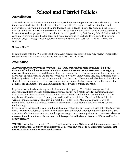## School and District Policies<br>Accreditation

State and District standards play out in almost everything that happens at Southside Elementary. From the moment students enter Southside, their efforts are directed toward academic standards and performance. Curriculum and instruction focus on the skills and knowledge students need to meet District standards. A variety of assessments will measure student progress toward meeting standards. In an effort to show progress for promotion to the next grade level, Park County School District #1 will continue to communicate the standards and relate requirements to students and parents in several different ways – through meetings, written communications, and postings in the classrooms for students.

#### School Staff

In compliance with the "No Child Left Behind Act," parents are assured they may review credentials of the staff by making a written request to Mr. Jay Curtis, 160 N. Evarts.

#### Attendance

Please report absences between 7:30 a.m. – 8:30 a.m. to the school office by calling 764-6183. Parent notification allows us to determine if an absence is excused as a prearranged or emergency absence. If a child is absent and the school has not been notified, office personnel will contact you. We care about our students and we are concerned when we don't know where they are. Academic success is directly related to the amount of time spent in the classroom. There are valuable lessons lost when a student is not in attendance. Class discussions, teacher demonstrations, social interactions, and other activities are examples of the valuable learning missed when a student is absent.

Regular school attendance is required by law and district policy. The District recognizes that emergencies, illness or other prearranged absences occur. As a result, ten (10) days per semester can be used for these purposes. If a student exceeds this ten-day limit in a given semester, he/she may be considered unexcused/truant, lose credit and/or be retained. Parents will be notified in writing should a pattern of absences approach the 10 day limit. Attendance meetings will be scheduled to identify and address barriers to attendance. Note: Habitual tardiness is dealt with at the building level.

If you know in advance that your child must be out of school for any reason, please notify the Southside office. The principal, the designated school attendance officer, will monitor students' attendance and determine whether absences are excused as pre-arranged or emergency absences. Unexcused absences are considered truancies and two or more will be reported to the School Resource Officer and/or the county attorney.

TARDIES: Instruction begins at 8:07 a.m. A pattern of tardiness (10 minutes late) also impacts access to quality instruction. A pattern of tardiness will be accrued and equate to an unexcused absence. Five tardies to school equal one unexcused absence.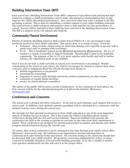#### Building Intervention Team (BIT)

Each school has a Building Intervention Team (BIT) composed of specialized and professional staff trained to evaluate a child's performance and to make educational recommendations that would improve the child's educational performance. Any concerned adult may refer a student to the BIT, including a parent. This is done by submitting a written request to your child's building principal. The team reviews a child's progress and proposes ways to help improve his/her performance in school. Parents will be informed if their child has been referred to the Building Intervention Team. The BIT is a support service for parents and students.

#### Community/Parent Involvement

Parents of students attending school in Park County School District #1 are encouraged to stay positively involved in their child's education. This can be done in a variety of ways. A few are:

- Volunteer Ideas include: chaperoning for field trips; sharing your expertise in an area with a grade level; and/or assisting with screenings.
- S.C.O. This is Southside's parent group (Southside Community Organization). The S.C.O. conducts a variety of activities to support Southside. Membership is open to the Southside community. The purpose of the S.C.O. is to work together with faculty and staff to further enhance the educational goals of our children.

Even if you do not have a child currently in school, your involvement is encouraged. Besides volunteering at the school of your choice, the District encourages its citizens to express their ideas, concerns, and/or judgments about the schools through such means as:

- written suggestion(s) or proposal(s)
- presentations at hearings
- responses to surveys made through interviews, written instruments, or other means
- comments at regular Board meetings
- service on citizen advisory committees

The advice of the public will be given careful consideration. In the evaluation of such advice, the first concern will be for the educational program as it affects the students. (Reference: [www.pcsd1.org\)](http://www.pcsd1.org/)

#### Conferences and Concerns

The school year is divided into three trimesters. At the end of each trimester, each student will receive a report card. In addition, each student's parents/guardians will be scheduled for a conference with the student's teacher twice during the school year.

We strongly feel that parental involvement in their child's education is one of the most important aspects of student success in school. This is the reason the District schedules parent-teacher conferences during both the first and second trimester. Based on feedback from parents, the conferences are held in the evening so parents do not have to take time from their employment to attend. These conferences are designed for parents and teachers to analyze and discuss each child's progress and development during the current year.

Of course, after-school conferences can be arranged at any time through your child's school office. (Reference: www.pcsd1.org) All conferences are important to develop and keep lines of communication open between home and school. All concerns arising in the classroom should first be discussed with your child's teacher. All questions concerning administrative policy or issues centered at Southside should be referred to the building principal. If he/she is unable to answer your question satisfactorily, he/she will refer it to the proper office.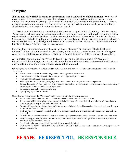#### Discipline

It is the goal of Southside to create an environment that is centered on student learning. This type of environment is based on specific desirable behaviors being exhibited by students. District policy charges the teachers and principal with insuring that each student has the opportunity "to a free and appropriate education without the fear or act of having their education materially or substantially interfered with or disrupted by other students or persons."

All District elementary schools have adopted the same basic approach to discipline, "Time To Teach". This program is based upon specific desirable behaviors being identified and taught to students before they are held accountable for them. In this manner, knowledge of school rules is not left to chance. Since parents of students at the individual schools are involved in identifying these desirable behaviors, the desired behavior may be slightly different from school to school. However, this is consistent with the "Time To Teach" theme of parent involvement.

Behavior that is inappropriate may be dealt with as a "Refocus" or require a "Student Behavior Referral". Either action may result in disciplinary action such as a loss of recess, loss of privilege of eating in the cafeteria, removal from a class, or In-School Suspension (ISS) to remedy the situation.

An important component of our "Time to Teach" program is the development of "Absolutes"—<br>behaviors which are illegal, unsafe, or both, and which constitute a threat to the overall well-being of individuals in our school. They will **absolutely** not be tolerated.

Following is a list of "Absolutes" as developed by staff, students, and parents. Violation of these absolutes will result in suspension.

- Possession of weapons in the building, on the school grounds, or on buses
- Possession of alcohol or drugs in the school, on school grounds, or on buses
- Physically assaulting another individual
- Stealing or willfully destroying the property of other students, adults, or the school in general
- Serious disrespect of others such as threatening anyone, spitting at or on anyone, derogatory comments, cursing or swearing at anyone, sexually harassing anyone
- Behaving in a sexually inappropriate way
- Openly defying school authority

Students who violate one of the "Absolutes" will be dealt with in the following manner:

- The student will be removed immediately from the area where the behavior occurred.
- The student will identify what the inappropriate behavior was, what was desired, and what would have been a more appropriate way to deal with the situation.
- Parents will be called to pick up their child for one day of Out-of-School Suspension. Suspension time will begin with removal from the immediate area.
- Students will be welcomed back to the school at the same time the next school day following a meeting with the principal.
- Students whose families are either unable or unwilling to pick them up, will be addressed on an individual basis.
- Weapon, drug, or alcohol violations will be reported to the Superintendent for possible extended suspension or expulsion by the Board of Trustees.
- Board Policy allows that credit will be denied for suspended students.
- Students whose behavior consistently places them in an Out-of-School Suspension situation will be subject to more stringent measures.

## BE SAFE. BE RESPECTFUL. BE RESPONSIBLE.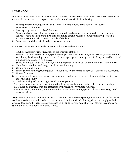#### Dress Code

Students shall not dress or groom themselves in a manner which causes a disruption to the orderly operations of the school. Furthermore, it is expected that Southside students will do the following:

- 1. Wear appropriate undergarments at all times. Undergarments are to remain unexposed.
- 2. Wear shoes at all times.
- 3. Meet appropriate standards of cleanliness.
- 4. Wear shorts and skirts that are adequate in length and coverage to be considered appropriate for school. Shorts or skirts should be long enough to extend beyond a student's fingertips when a student's arms are held down to the side of the legs.
- 5. Wear pants and shorts fastened and worn at the waist.

It is also expected that Southside students will **not** wear the following:

- 1. Anything sexually suggestive, such as see-through clothing.
- 2. Halters, backless dresses or tops, spaghetti straps, tube tops, tank tops, muscle shirts, or any clothing which may be distracting, unless covered by an appropriate outer garment. Straps should be at least 2 inches wide on shirts or blouses.
- 3. Shirts or blouses tied at the midriff, clothing improperly fastened, or anything with a bare midriff.
- 4. Caps, hats, hose hats and sunglasses in school building.
- 5. Chains or wallet chains.
- 6. Hair curlers or other grooming aids students are to use combs and brushes only in the restrooms.
- 7. Unsafe footwear.
- 8. Apparel, emblems, insignias, badges, or symbols that promote the use of alcohol, tobacco, drugs or other illegal activity.
- 9. Clothing with profane or suggestive slogans or pictures.
- 10. Apparel or symbols which are identified with gang involvement, participation or membership.
- 11. Clothing or garments that are associated with violence or promote violence.
- 12.Unsafe jewelry including, but not limited to, spiked wrist bands, spiked collars, spiked rings, and razor necklaces.

Note: The principal or lead teacher has the final authority for interpreting whether a student's apparel conforms to the dress code. When it is determined that a student's clothing does not comply with the dress code, a parent/guardian may be asked to bring an appropriate change of clothes to school, or a student may be sent home to change clothes.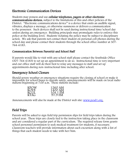#### Electronic Communication Devices

Students may possess and use cellular telephones, pagers or other electronic communications devices, subject to the limitations of this and other policies of the District. "Electronic communications device" is a device that emits an audible signal, vibrates, displays a message, or otherwise summons or delivers a communication to the possessor. Such devices shall not be used during instructional time/school day unless during an emergency. Building principals may promulgate rules to enforce this policy at the building level. Students violating the policy may be subject to disciplinary action. We ask that parents not contact their student on personal cell phones during the school day and please contact their students through the school office number at 307- 764-6183.

#### Communication Between Parent(s) and School Staff

If parents would like to visit with any school staff please contact the Southside Office (307-764-6183) to set up an appointment to do so. Instructional time is very important and our office staff will do their best to relay any messages to staff and set up appointments during non-instructional time including after school.

#### Emergency School Closure

Should severe weather or emergency situations require the closing of school or make it impossible for school buses to operate safely, announcements will be made on local radio stations beginning at 7:00 a.m. These stations include:

| KPOW        | 1260 AM  |
|-------------|----------|
| KODI        | 1400 AM  |
| KCGL        | 104.1 FM |
| <b>KTAG</b> | 97.9 FM  |

Announcements will also be made at the District web site: [www.pcsd1.org.](http://www.pcsd1.org/)

#### $\overline{\phantom{a}}$ Field Trips

Parents will be asked to sign field trip permission slips for field trips taken during the school year. These trips are closely tied to the instruction taking place in the classroom and are considered a regular part of the curriculum. The required release form grants school personnel permission to seek medical treatment for students, if necessary. Classroom teachers will provide information about each excursion along with a list of things that each student needs to take with her/him.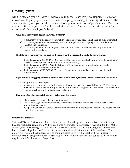#### Grading System

Each trimester, your child will receive a Standards-Based Progress Report. This report allows you to gauge your student's academic progress using a meaningful measure, the state standard, and your child's overall development and level of proficiency. Over the course of the year, our staff will "do whatever it takes" to help your child master the essential skills at each grade level.

#### What does the progress report tell you as a parent?

- $\checkmark$  It provides you with a report of your child's progress toward grade-level essential skill attainment.
- $\checkmark$  It provides you with information on your student's specific areas of progress toward the state standard each trimester.
- $\checkmark$  It provides you with an "end of year" determination of the achievement level of your student in relation to the standard.

#### The following markings will be used on the report card to indicate the student's performance:

- $\checkmark$  Students receive a BEGINNING (BEG) score if they are at an introductory level of understanding of the skill or concept; teacher assistance is usually necessary.
- $\checkmark$  Students receive a DEVELOPING (DEV) score if they have shown understanding of the skill or concept; some independence is evident.
- $\checkmark$  Students receive a PROFICIENT (P) score if they can apply the skill or concept correctly and independently.

#### If your child is struggling to meet the grade-level essential skills, you may want to consider the following:

Look closely at the progress report.

 $\checkmark$  Where does your child score in the section "Characteristics of a Successful Learner"? If this is an area where there is room for improvement, this is the first thing that you as a parent can assist with, whether it is homework, attendance, or behavior.

#### Characteristics of a Successful Learner - What does this mean?

- $\checkmark$  Characteristics are critical to academic success.
- $\checkmark$  The teacher is given an opportunity to separate the characteristics of a successful learner from academic achievement.
- $\checkmark$  As a parent you can be assured that you know your child is progressing academically toward his/her grade-level standards.

#### Performance Standards

State and District Performance Standards are areas of knowledge each student is expected to acquire at his/her particular grade level. Within each area of knowledge (Language Arts, Social Studies, Math, Science, Fine/Performing Arts, P.E., Health, Career/Vocational, and Foreign Language), assessments have been developed and will be used to measure the student's attainment of the standards. Your child's progress on the standards will be communicated to you by the teacher through parent conferences and progress reports. Please keep in mind that the standards are set up as the *minimum* requirements for that subject/grade level.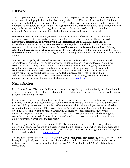#### Harassment

State law prohibits harassment. The intent of the law is to provide an atmosphere that is free of any sort of harassment, be it physical, sexual, verbal, or any other form. District policies outline in detail the procedures to be followed if harassment occurs. The District will continue to make students aware of how specific behaviors affect others and the legal ramifications of such behaviors. Students who believe they are being harassed should bring their concerns to the attention of a teacher, counselor or principal. Appropriate reports will be filled out and investigated by school personnel.

Harassment consists of unwanted, repeated physical gestures or advances, or spoken or written derogatory comments or suggestions. Any action that is or implies a threat will be considered harassment. Harassment of any kind will not be tolerated at Southside Elementary School. If a student thinks he or she has been harassed in any way, he or she should talk with a teacher, counselor, or the principal. Because some forms of harassment can be considered a form of abuse, school employees are required by Wyoming law to report allegations of this nature to the authorities. Harassment can take place in varying degrees; hence, consequences will be determined according to the offense.

It is the District's policy that sexual harassment is unacceptable and shall not be tolerated and that no employee or student of the District may sexually harass another. Any employee or student will be subject to disciplinary action for violation of the policy. Under this policy, any unwelcome sexual advances, solicitation of sexual activity by promise of rewards, coercion of sexual activity by threat of punishment, verbal sexist remarks, or physical sexual assaults, constitute sexual harassment. This conduct has the purpose or effect of unreasonably interfering with an individual's academic or work performance or creating an intimidating, hostile, or offensive employment or educational environment. (Reference: [www.pcsd1.org\)](http://www.pcsd1.org/)

#### Health Services

Park County School District #1 holds a variety of screenings throughout the school year. These include vision, hearing and scoliosis checks. Additionally, the District nurses arrange a variety of health-related activities throughout the year.

Every school in the District attempts to provide an environment in which the children will be safe from accidents. However, if an accident or sudden illness occurs, first aid and/or CPR will be administered and the child's parent/guardian notified. (Please note that all District employees are required to be certified in both first aid and CPR.) No care beyond first aid, defined as the immediate, temporary care given in case of an accident or sudden illness, will be given by school personnel. (Reference: www.pcsd1.org) In the event that we are not able to contact you, we will then call the emergency contacts you have provided. Because these types of situations do arise, we ask that you update your child's information whenever changes occur.

In order to prevent the spread of communicable diseases and to ensure a rapid recovery with a minimum of after effects, parents are asked to keep their children at home when they show evidence of the following symptoms: skin eruption, ear ache, pink eye, ringworm or impetigo, vomiting, fever, head lice, or diarrhea. (Reference: [www.pcsd1.org\)](http://www.pcsd1.org/)

This Student/Parent handbook does not contain COVID regulations and protocols. Should PCSD#1 again be required by local, state, or federal health authorities to adhere to safety regulations such as 6' of distance, use of face coverings, and contact tracing, PCSD#1 will notify all PCSD#1 Stakeholders immediately.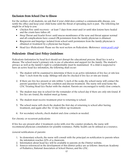#### Exclusion from School Due to Illness

For the welfare of all students, we ask that if your child does contract a communicable disease, you notify the office and keep your child home until the threat of spreading such is past. The following list might be of help to you:

- Chicken Pox: until recovery—at least 7 days from onset and/or until skin lesions have healed and the crusts have fallen off.
- Strep Throat and Scarlet Fever: until mucus membranes of the nose and throat appear normal and all complications have ceased OR permission from the family physician is obtained.
- Ringworm and Impetigo: isolated from school until permission from the family physician is obtained or treatment by a physician has begun.
- Head Lice (Pediculosis): Please see the next section on Pediculosis. (Reference: [www.pcsd1.org\)](http://www.pcsd1.org/)

#### Pediculosis (Head Lice) Policy Guidelines:

Pediculosis (infestation by head lice) should not disrupt the educational process. Head lice is not a disease. The school nurse's primary role is one of education and support for the family. The student's privacy as well as the family's right to confidentiality must be maintained. If a child is suspected to have an active head lice infestation, the following shall occur:

- 1. The student will be examined to determine if there is an active infestation of live lice or nits less than ¼ inch from the scalp. Siblings will also be checked if live lice or nits are found.
- 2. If there are live lice present or nits within  $\frac{1}{4}$  inch of the scalp, the school nurse will contact the parent/guardian to report the condition and discuss treatment. The nurse will send home the CDC Treating Head Lice Packet with the student. Parents are encouraged to notify close contacts.
- 3. The student may stay in school for the remainder of the school day if there are only nits found. If live lice are found, the student must go home.
- 4. The student must receive treatment prior to returning to school.
- 5. The school nurse will check the student the first day of returning to school after having treatment, and again after the 10 day follow-up treatment.
- 6. For secondary schools, check student and close contacts as needed.

For chronic or recurrent pediculosis:

If live lice are present after 2 treatment cycles with over the counter products, the nurse will recommend physician consultation for possible resistance. Public health can be utilized as a resource.

General notifications of parents:

- 1. In elementary schools, the nurse will consult with the principal on notification to parents when the infestation reaches 20% of a classroom.
- 2. Information about head lice will be available to parents on the District website.
- 3. Sources referenced in the development of this district policy are as follows: American Academy of Pediatrics, National Association of School Nurses, and the CDC.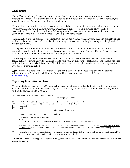#### Medication

The staff at Park County School District #1 realizes that it is sometimes necessary for a student to receive medication at school. It is preferred that medication be administered at home whenever possible; however, we do realize the need for such at school in certain situations.

If a situation arises and it becomes necessary for your child to receive medication during school hours, written permission signed by the attending physician is required (Request for Administration of Prescription Medication). This permission includes the following: reason for medication, name of medication, dosages to be given and the time it is to be administered, as well as possible side effects.

The medication must be brought to the principal's office in the original pharmacy container and properly labeled with the child's name, name of the medication and dosages of medication to be given along with the physician's written permission.

A "Request for Administration of Over-the-Counter Medications" form is sent home the first day of school requesting permission to administer medications such as non-aspirin, ibuprofen, antacids and throat lozenges. Students will not be given these medications without parental permission.

All prescription or over-the-counter medications must be kept in the office where they will be secured in a locked cabinet. Medication will be administered to your child by either the school nurse or the school's designee at the designated time. The School Nurse/Administration reserves the right to review or reject all requests for over-the-counter medication.

Note: If your child needs to use an inhaler or nebulizer at school, you will need to obtain the "Request for Administration of Prescription Medication" form and have your physician sign it. (Reference: [www.pcsd1.org\)](http://www.pcsd1.org/)

#### Wyoming Immunization Law

Wyoming State law, W.S. 21-4-309, requires the parent to submit a completed official record of immunization to your child's school within 30 calendar days after the first day of attendance. Failure to do so means your child will not be allowed to attend school.

The immunization requirements are as follows:

#### Kindergarten Students

- 5\* DTP/DtaP/DT (at least one dose must be administered on or after the fourth birthday)  $4***$  Polio (at least one dose must be administered on or after the fourth birthday)
- 4\*\* Polio (at least one dose must be administered on or after the fourth birthday)
- 3 Hepatitis B<br> $2***$  MMR
- $MMR$

#### Students in Grades 1-6

DTP/DtaP/DT/Td (age appropriate series complete)

- Polio (age appropriate series complete)
- $2***$  MMR
- If a fourth DTP dose was administered on or after the fourth birthday, a fifth dose is not required.
- \*\* Administration of 4 doses is considered optimal. Sequential OPV or IPV may be used, but the final dose must be given on or after the age of four, even if this means a fifth dose. If a third dose is received on or after age 4, no additional doses are required.
- \*\*\* For students 7 years of age and older who were not immunized prior to the seventh birthday, a total of 3 doses of Td vaccine, 3 doses of Polio vaccine and 2 doses of MMR are required.

Exemption: A medical or religious exemption can be granted upon special circumstances. Please talk to the school nurse for more information.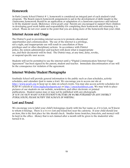#### Homework

In Park County School District # 1, homework is considered an integral part of each student's total program. The Board expects homework assignments to aid in the development of skills taught in the classrooms; homework should be an application or adaptation of a classroom experience and tailored to fit the students' needs. (Reference: www.pcsd1.org) Parents are encouraged to support their children in developing good work habits and responsibility for completing their homework and returning it to school. Please do not over-assist to the point that you are doing more of the homework than your child.

#### Internet Access and Usage

The District's goal in providing internet access is to promote educational opportunities and communication. The use of the internet is a privilege, not a right, and inappropriate use will result in cancellation of these privileges and/or other disciplinary actions. In accordance with District policy, the system administrator and teachers will deem what is inappropriate use, and their decision(s) will be final. The District may, at any time, deny, revoke, or suspend specific user access.

Students will not be permitted to use the internet until a "Digital Communication/Internet Usage Agreement" has been signed by the parent, student and teacher. Immediate discontinuation of use will be the consequence for violation of the agreement.

#### Internet Website/Student Photographs

Southside School will provide general information to the public such as class schedules, activity schedules, and calendars (just to name a few). We encourage you to access our site at [http://www.pcsd1.org](http://www.pcsd1.org/) to keep up-to-date on school events. You may also access activity schedules for PCSD #1 schools at [www.highschoolsports.net](http://www.highschoolsports.net/) or [http://oneschoolstreet.com.](http://oneschoolstreet.com/) We may wish to place pictures of our students on our website, newsletters, and other electronic or printed publications. Student names may or may not be published with any photograph. IF YOU DO NOT WANT YOUR STUDENT'S PICTURE OR WORK PUBLISHED IN ANY DISTRICT PUBLICATION, PLEASE NOTIFY THE SCHOOL IN WRITING.

### Lost and Found

We encourage you to label your child's belongings clearly with his/her name so, if it is lost, we'll know to whom it belongs. There is a brown lost and found box near the cafeteria. If your child should lose an item, this is the first place he/she should check. Smaller items (watches, bracelets, and money) will be kept in the office. Money that is not claimed after a month will be given to the student(s) who turned it in.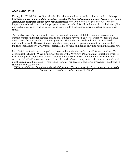#### Meals and Milk

During the 2021-22 School Year, all school breakfasts and lunches will continue to be free of charge, however, it is very important for parents to complete the Free & Reduced application because our school funding and programs depend upon this information. This vital funding helps our school maintain important teacher-led intervention programs across our school for all students which includes supplies, curriculum, math and reading supports and lower student to teacher/instructional paraprofessional ratios.

The meals are carefully planned to ensure proper nutrition and palatability and take into account current studies calling for reduced fat and salt. Students have their choice of white or chocolate milk during breakfast and lunch. If students prefer to bring their own meals, milk can be purchased individually as well. The cost of a second milk or a single milk to go with a meal from home is \$.40. Students should not give away/trade/barter/sell food items at lunch or any time during the school day.

Each District cafeteria has a computerized system that maintains an "account" for each student. The account is the student's Wiser ID number (issued by the Wyoming Department of Education) which is used when purchasing a meal or milk. Each student is issued a card with which to access his/her account. Meal/milk monies are entered into the student's account upon deposit; then, when a student purchases a meal, that amount is subtracted from his/her account. The same procedure is used when a student purchases just milk.

USDA prohibits discrimination in the administration of its programs. To file a complaint, write to the Secretary of Agriculture, Washington, D.C. 20250.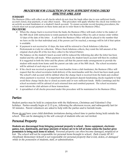#### PROCEDURE FOR COLLECTION OF NON-SUFFICIENT FUNDS CHECKS EFFECTIVE APRIL 2008

SUMMARY<br>The Business Office will collect on all checks which do not clear the bank either due to non-sufficient funds, account closed, stop payment, or any other reason. This procedure will apply whether the check was written for an activity account fundraiser or a student's lunch account. To ensure accurate record-keeping procedures, the schools must not accept payment on these items and are to refer them to the Business Office.

#### PROCEDURE

- $\triangleright$  When the charge-back is received from the bank, the Business Office will mail a letter to the maker of the NSF check with instructions to remit payment to the Business Office by cash or money order within 10 days of the date of the letter. A call from the Business Office will also be placed to the number that we have on file for that individual and, if the person can't be reached, a message will be left if that option is available.
- $\triangleright$  If payment is not received in 10 days, the item will be referred to Check Solutions-Collection Professionals in Cody for collection. When Check Solutions collects, they remit the full amount of the original check plus \$5 of the fees they collect to the School District.
- $\triangleright$  The balance on the student's lunch account will be reduced the following day after the letter has been mailed and the call made. When payment is received, the student lunch account will then be credited. It is suggested in both the letter and the phone call that the parent make arrangements to provide the student with meals from home until the parent can take care of the NSF check. The school secretaries will be advised of each step as it occurs.
- $\triangleright$  If the check was received as payment for merchandise from a club fundraiser, the Business Office will request that the school secretaries hold delivery of the merchandise until the check has been made good. The school's club account will be debited when the charge-back is received from the bank and credited when payment is received. It is important that club sponsors deposit fundraising checks regularly to help avoid these charge-backs due to closed accounts and/or non-sufficient funds. Molly Cummings and the school secretaries will be advised of each returned item and remitted payment. The school secretaries must inform the club advisors of these transactions.
- $\triangleright$  A spreadsheet of all checks processed under this procedure will be maintained in the Business Office.

#### Parties

Student parties may be held in conjunction with the Halloween, Christmas and Valentine's Day holidays. Parties usually begin at 2:15 p.m., following the afternoon recess, and subsequently last for 50 minutes. Parent volunteers are asked to help with the parties and to furnish treats.

Please do not have your child distribute invitations during school time to parties being held outside the school. This can be damaging to the self-concept of students who are not invited.

#### $\overline{a}$ Personal Property

Students are discouraged from bringing personal property to school. Stereo equipment, electronic games, toys, skateboards, and large amounts of money are to be left at home unless the teacher gives permission to bring such items to school. Personal property can often become damaged, misplaced or lost. The school will not be responsible for personal items brought to school. Park County  $SD #1$ (Southside Elementary School) is not responsible for personal property that is lost, stolen, or damaged while in the possession of students, staff, or administration.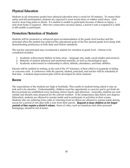#### Physical Education

Students in all elementary grades have physical education twice a week for 30 minutes. To ensure their safety and full participation, students are expected to wear tennis shoes or rubber-soled shoes. Girls need to wear long pants or shorts. If a student is unable to participate because of illness or injury, a note from home is required. After two consecutive excused classes, a doctor's note is required if a child is still unable to participate.

#### Promotion/Retention of Students

Students will be promoted or advanced upon recommendation of the grade-level teacher and the principal when the student has achieved the educational goals of his/her present grade level along with demonstrating proficiency in both State and District standards.

The teacher and principal may recommend a student for retention at grade level. Criteria to be considered includes:

- 1. Academic achievement (failure in basic areas language arts, math, social studies and science);
- 2. Maturity of student (physical and emotional maturity, as well as chronological age);
- 3. Academic achievement in relationship to effort, attitude, attendance, and basic abilities.

Parents will be notified in writing, at the end of the 2nd trimester, if their child is in jeopardy of failing or concerns exist. A conference with the parents, student, principal, and teacher will be scheduled at that time. A student improvement plan will be developed for those students.

#### Recess

The expectations of the students are high at Southside. This results in students being asked to stay on task and to be attentive. Understandably, children need the opportunity to exercise and to get fresh air. Recess periods are established every morning, before lunch, and afternoon. Generally, students are sent outside and should come prepared for the current weather. If the temperature dips below zero degrees Fahrenheit, students are allowed to remain inside and to participate in activities in their rooms. Students who are suffering from colds or returning from an illness are allowed to remain inside during recess for a period of two days with a note from their parent. Requests to keep children in for longer periods of time require a doctor's release. Items of value, such as Gameboys and other personal belongings, should be left at home.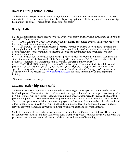#### Release During School Hours

Students will not be permitted to leave during the school day unless the office has received a written authorization from the parent/guardian. Parents picking up their child during school hours must sign them out at the office. This helps us ensure students' safety.

#### Safety Drills

Due to changing issues facing today's schools, a variety of safety drills are held throughout each year at Southside. These include:

• Fire & Evacuation Drills: Fire drills are held regularly as required by law. Each room has a sign informing students what to do in case of a fire.

Lockdowns: Recently it has become necessary to practice drills to keep students safe from those who might harm them. A lockdown is a drill that is practiced by staff, students and administrators in conjunction with local community agencies to prepare for the unlikely time when someone may threaten our students.

• Bus Evacuation: Bus evacuation drills are practiced each year with all students. Even though a student may not ride the bus to school, he/she may ride on a bus for a field trip or for other school activities. Therefore, it is imperative that all students understand these drills.

ALICE TRAINING – during the course of the school year all staff and students will learn and practice A.L.I.C.E. Training (ALERT, LOCKDOWN, INFORM, COUNTER, EVACUATE). A.L.I.C.E. is specific training to help our *school more proactively handle the threat of an aggressive intruder or* active shooter event. (Please see [www.alicetraining.com](http://www.alicetraining.com/) for more information on this important training).

(Reference: www.pcsd1.org)

#### Student Leadership Team (SLT)

Students at Southside in grades 3-5 are invited and encouraged to be a part of the Southside Student Leadership team. Twelve students are selected (after an application and interview process) from grades 3, 4 & 5. School staff and student leadership team members are encouraged to involve all students in providing input to the team as they work cooperatively with staff and administration to make decisions about school operations, activities, and service projects. All aspects of team membership help teach and allow students to learn leadership skills and build community. Over the course of the year, students serve in different leadership capacities and support student goals and accomplishments.

Student Leadership Team meetings are held once per month at 2:30 pm in the cafeteria. Throughout the school year Southside Student Leadership Team members sponsor a number of various activities and programs that promote teamwork, joyous celebrations, and a sense of belonging.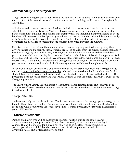#### Student Safety & Security Kiosk

A high priority among the staff of Southside is the safety of all our students. All outside entrances, with the exception of the front doors located on the east side of the building, will be locked throughout the school day.

ALL visitors and volunteers are required to have their driver's license with them in order to access our school through our security kiosk. Visitors will receive a visitor's badge and must wear the visitor badge while in the building. This assures staff members that the individual has permission to be in the building. All strangers on school property who have not checked in at the office will be approached by a staff member and will be asked to return to the office to obtain a visitor badge. Visitors and volunteers are also asked to check out at the security kiosk when they exit the building.

Parents are asked to check out their student, at such time as they may need to leave, by using their driver's license and the security kiosk. Students are not to be taken from the playground nor should they be taken during any type of drill (fire, intruder, etc.). Should there be changes to the normal daily procedures for children returning home, or a need to leave school for dental or doctor appointments, it is essential that the school be notified. We would ask that this be done with a note the morning of such interruptions. Although we understand that emergencies can occur, and we are willing to work with parents in such situations, it can be difficult to notify students with last-minute phone calls.

Whenever a student wishes to ride on a bus other than the one assigned, he/she must bring a note to the office signed by his/her parent or guardian. One of the secretaries will fill out a bus pass for the student, keeping the original in the office and giving the student a copy to give to the bus driver. This procedure is for the child's safety and well-being, assuring us that the parent/guardian is aware of the change in procedure.

The Board of Park County School District #1 defines the canal, railroad tracks and Highway 14 as "Danger Zone" areas. For their safety, students are to ride the shuttle bus across that area when going to and from school.

#### Telephone Use

Students may only use the phone in the office in case of emergency or by having a phone pass given to them by their classroom teacher. Parents are to instruct their child when to wait or with whom they are to ride/walk home before the school day begins. If this is a problem, please write a short note to your child's teacher.

#### Ĩ Transfer of Students

Parents of children who will be transferring to another district during the school year are asked to please notify the principal's office at least one week prior to the student's last day in school. This will allow time for a check-out report to be completed. This report should be picked up during the child's last day in our schools. It will help the next district in arranging classes and/or teachers for your child.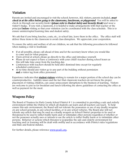#### $\overline{a}$ Visitation

Parents are invited and encouraged to visit the school; however, ALL visitors, parents included, *must* check in at the office before going to the classrooms, lunchroom, or playground. You will be asked to check-in through our security kiosk ((please refer to Student Safety and Security Kiosk) and wear a visitor's badge. If you visit a classroom, it is helpful to make arrangements with that teacher or the principal before visiting so that your visitation can be coordinated with the class schedule. This is to ensure uninterrupted learning time and student safety.

We ask that if you bring lunches, coats, etc., to school late, leave them in the office. The office staff will deliver these items to the classroom to avoid class disruption. We appreciate your cooperation.

To ensure the safety and welfare of all our children, we ask that the following procedures be followed when making a visit to Southside:

- If at all possible, please call ahead of time and let the secretary know when you would like to come and for what purpose.
- Upon arrival at school, please go directly to the office and introduce yourself.
- Please do not expect to have a conference with your child's teacher during school hours as this will take time away from the teaching day.
- Conferences with teachers should be held after dismissal time except for regularly scheduled conferences.
- At no time should any visitor go to any part of the building without permission and a visitor tag from office personnel.

Experience indicates that student visitors wishing to remain for a major portion of the school day can be counterproductive. Liability issues and the fact that classroom teachers do not know the proper placement of visiting children, can cause unnecessary disruptions to the business of learning. Visitors are welcome to join us for breakfast and lunch following the above guidelines of contacting the office as well as payment for the meal.

#### Weapons Policy

The Board of Trustees for Park County School District # 1 is committed to providing a safe and orderly environment within the District in which all students can learn and all teachers can teach. To help ensure this safe environment, the Board will not tolerate the possession or use of any deadly weapons on any school grounds, in any school facilities, or in any school vehicles. The Board also will not tolerate any article that may be used as a deadly weapon on School District properties to be used or threatened to be used to inflict bodily harm and/or intimidate other persons regardless of whether or not the possessor actually uses or intends to use the article to inflict bodily harm or to intimidate other persons. Behavior or actions which threaten to jeopardize the safe and orderly environment for teaching and/or learning will be dealt with swiftly and in accordance with District rules/regulations and State and Federal statutes.

For further details, please reference [www.pcsd1.org.](http://www.pcsd1.org/)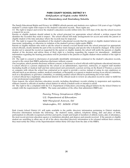#### **PARK COUNTY SCHOOL DISTRICT # 1 Notification of Rights under FERPA For Elementary and Secondary Schools**

The Family Educational Rights and Privacy Act (FERPA) affords parents and students over eighteen (18) years of age ("eligible students") certain rights with respect to the student's education records. These rights are:

(1) The right to inspect and review the student's education records within forty-five (45) days of the day the school receives a request for access.

Parents or eligible students should submit to the school principal (or appropriate school official) a written request that identifies the record(s) they wish to inspect. The school official will make arrangements for access and notify the parent or eligible student of the time and place where the records may be inspected.

(2) The right to request the amendment of the student's educational records that the parent or eligible student believes are inaccurate, misleading, or otherwise in violation of the student's privacy rights under FERPA.

Parents or eligible students who wish to ask the school to amend a record should write the school principal (or appropriate school official), clearly identify the part of the record they want changed, and specify why it should be changed. If the school decides not to amend the record as requested by the parent or eligible student, the school will notify the parents or eligible student of the decision and advise them of their right to a hearing regarding the request for amendment. Additional information regarding the hearing procedures will be provided to the parents or eligible student when notified of the right to a hearing.

(3) The right to consent to disclosures of personally identifiable information contained in the student's education records, except to the extent that FERPA authorizes disclosure without consent.

One exception, which permits disclosure without consent, is disclosure to school officials with legitimate educational interests. A school official is a person employed by the school as an administrator, supervisor, instructor, or support staff member (including health or medical staff and law enforcement unit personnel); a person serving on the Board of Trustees; a person or company with whom the school has contracted as its agent to provide a service instead of using its own employees or officials (such as an attorney, auditor, medical consultant, or therapist); or a parent or student serving on an official committee, such as a disciplinary or grievance committee, or assisting another school official in performing his or her tasks.

A school official has a legitimate educational interest if the official needs to review an education record in order to fulfill his or her professional responsibility.

Upon request, the school discloses education records, including disciplinary records relating to suspension and expulsion, without consent to officials of another school district in which a student seeks or intends to enroll.

(4) The right to file a complaint with the U.S. Department of Education concerning alleged failures by the School District to comply with the requirements of FERPA. The name and address of the office that administers FERPA are:

> Family Policy Compliance Office U.S. Department of Education 400 Maryland Avenue, SW Washington, DC 20202-5920

Park County School District #1 will make available to the public directory information pertaining to District students. Directory information includes the following: the student's name, address, telephone listing, date and place of birth, participation in officially recognized activities and sports, weight and height of members of athletic teams, date of attendance, the most recent previous education agency or institution attended, and degrees and awards received. If the parents or eligible student are unwilling to allow any or all of the above-described directory information to be released without their consent, they must notify the Office of the Superintendent within thirty (30) days from the date of the FERPA.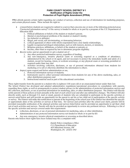#### **PARK COUNTY SCHOOL DISTRICT # 1 Notification of Rights Under the Protection of Pupil Rights Amendment (PPRA)**

PPRA affords parents certain rights regarding our conduct of surveys, collection and use of information for marketing purposes, and certain physical exams. These include the right to:

- Consent before students are required to submit to a survey that concerns one or more of the following protected areas ("protected information survey") if the survey is funded in whole or in part by a program of the U.S. Department of Education (ED)
	- 1. Political affiliations or beliefs of the student or student's parent;
	- 2. Mental or psychological problems of the student or student's family;
	- 3. Sex behavior or attitudes;
	-
	- 4. Illegal, anti-social, self-incriminating, or demeaning behavior; 5. Critical appraisals of others with whom respondents have close family relationships;
	- 6. Legally recognized privileged relationships, such as with lawyers, doctors, or ministers;
	- 7. Religious practices, affiliations, or beliefs of the student or parents; or
	- 8. Income, other than as required by law to determine program eligibility.
- Receive notice and an opportunity to opt a student out of
	- 1. Any other protected information survey, regardless of funding;
	- 2. Any non-emergency, invasive physical exam or screening required as a condition of attendance, administered by the school or its agent, and not necessary to protect the immediate health and safety of a student, except for hearing, vision, or scoliosis screenings, or any physical exam or screening permitted or required under State law; and
	- 3. Activities involving collection, disclosure, or use of personal information obtained from students for marketing or to sell or otherwise distribute the information to others.
- Inspect, upon request and before administration or use,
	- 1. Protected information surveys of students;
	- 2. Instruments used to collect personal information from students for any of the above marketing, sales, or other distribution purposes; and
	- 3. Instructional material used as part of the educational curriculum.

These rights transfer from the parents to a student who is eighteen (18) years old or an emancipated minor under State law. The School District has developed and adopted administrative regulations/operational procedures in consultation with parents, regarding these rights, as well as arrangements to protect student privacy in the administration of protected information surveys and the collection, disclosure, or use of personal information for marketing, sales, or other distribution purposes. The District will directly notify parents of these policies at least annually at the start of each school year and after any substantive changes. The District will also directly notify, such as through U.S. mail or email, parents of students who are scheduled to participate in the specific activities or surveys noted below and will provide an opportunity for the parent to opt his or her child out of participation of the specific activity or survey. The District will make this notification to parents at the beginning of the school year if the District has identified the specific or approximate dates of the activities or surveys at that time. For surveys and activities after the school year starts, parents will be provided reasonable notification of the planned activities and surveys listed below and be provided an opportunity to opt their child out of such activities and surveys. Parents will also be provided an opportunity to review any pertinent surveys. Following is a list of the specific activities and surveys covered under this requirement:

- Collection, disclosure, or use of personal information for marketing, sales, or other distribution.
- Administration of any protected information survey not funded in whole or in part by ED.
- Any non-emergency, invasive physical examination or screening as described above.

Parents who believe their rights have been violated may file a complaint with:

Family Policy Compliance Office U.S. Department of Education 400 Maryland Avenue, SW Washington, DC 20202-592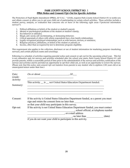#### PARK COUNTY SCHOOL DISTRICT NO. 1 PPRA Notice and Consent/Opt-Out for Specific Activities

The Protection of Pupil Rights Amendment (PPRA), 20 U.S.C. '1232h, requires Park County School District #1 to notify you and obtain consent or allow you to opt your child out of participating in certain school activities. These activities include a student survey, analysis, or evaluation that concerns one or more of the following eight areas ("protected information surveys"):

- 1. Political affiliations or beliefs of the student or student's parent;
- 2. Mental or psychological problems of the student or student's family;
- 3. Sex behavior or attitudes;
- 4. Illegal, anti-social, self-incriminating, or demeaning behavior;
- 5. Critical appraisals of others with whom respondents have close family relationships;
- 6. Legally recognized privileged relationships, such as with lawyers, doctors, or ministers;
- 7. Religious practices, affiliations, or beliefs of the student or parents; or
- 8. Income, other than as required by law to determine program eligibility.

This requirement also applies to the collection, disclosure or use of student information for marketing purposes (marketing surveys), and certain physical exams and screenings.

Following is a schedule of activities requiring parental notice and consent or opt-out for the upcoming school year. This list is not exhaustive and, for surveys and activities scheduled after the school year starts, Park County School District #1 will provide parents, within a reasonable period of time prior to the administration of the surveys and activities, notification of the surveys and activities and be provided an opportunity to opt their child out, as well as an opportunity to review the surveys. (Please note that this notice and consent/opt-out transfers from parents to any student who is eighteen (18) years old or an emancipated minor under State law.)

| Date:<br>Grade: | On or about 20, 20                                                                                                                                  |
|-----------------|-----------------------------------------------------------------------------------------------------------------------------------------------------|
| Activity:       | This activity __ is __ not United States Education Department funded.                                                                               |
| Summary:        |                                                                                                                                                     |
| Consent:        | If the activity is United States Education Department funded, as a parent you must<br>sign and return the consent form no later than                |
|                 | so that your child may participate in this survey.                                                                                                  |
| Opt-out:        | If the activity is not United States Education Department funded, you must contact<br>, school official, at telephone number<br>, or e-mail address |
|                 | , no later than<br>(date)                                                                                                                           |
|                 | if you do not want your child to participate in this activity.                                                                                      |

 $\_$  . The contribution of the contribution of the contribution of the contribution of  $\mathcal{L}_\text{max}$